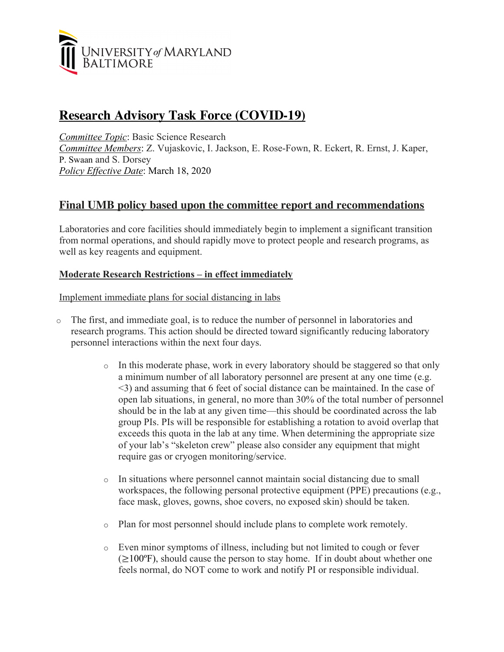

# **Research Advisory Task Force (COVID-19)**

*Committee Topic*: Basic Science Research *Committee Members*: Z. Vujaskovic, I. Jackson, E. Rose-Fown, R. Eckert, R. Ernst, J. Kaper, P. Swaan and S. Dorsey *Policy Effective Date*: March 18, 2020

# **Final UMB policy based upon the committee report and recommendations**

Laboratories and core facilities should immediately begin to implement a significant transition from normal operations, and should rapidly move to protect people and research programs, as well as key reagents and equipment.

# **Moderate Research Restrictions – in effect immediately**

Implement immediate plans for social distancing in labs

- o The first, and immediate goal, is to reduce the number of personnel in laboratories and research programs. This action should be directed toward significantly reducing laboratory personnel interactions within the next four days.
	- o In this moderate phase, work in every laboratory should be staggered so that only a minimum number of all laboratory personnel are present at any one time (e.g. <3) and assuming that 6 feet of social distance can be maintained. In the case of open lab situations, in general, no more than 30% of the total number of personnel should be in the lab at any given time—this should be coordinated across the lab group PIs. PIs will be responsible for establishing a rotation to avoid overlap that exceeds this quota in the lab at any time. When determining the appropriate size of your lab's "skeleton crew" please also consider any equipment that might require gas or cryogen monitoring/service.
	- o In situations where personnel cannot maintain social distancing due to small workspaces, the following personal protective equipment (PPE) precautions (e.g., face mask, gloves, gowns, shoe covers, no exposed skin) should be taken.
	- o Plan for most personnel should include plans to complete work remotely.
	- o Even minor symptoms of illness, including but not limited to cough or fever  $(\geq 100^\circ F)$ , should cause the person to stay home. If in doubt about whether one feels normal, do NOT come to work and notify PI or responsible individual.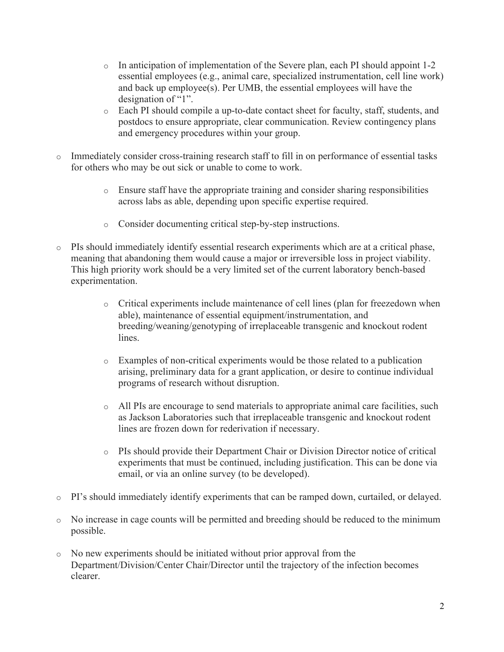- o In anticipation of implementation of the Severe plan, each PI should appoint 1-2 essential employees (e.g., animal care, specialized instrumentation, cell line work) and back up employee(s). Per UMB, the essential employees will have the designation of "1".
- o Each PI should compile a up-to-date contact sheet for faculty, staff, students, and postdocs to ensure appropriate, clear communication. Review contingency plans and emergency procedures within your group.
- o Immediately consider cross-training research staff to fill in on performance of essential tasks for others who may be out sick or unable to come to work.
	- o Ensure staff have the appropriate training and consider sharing responsibilities across labs as able, depending upon specific expertise required.
	- o Consider documenting critical step-by-step instructions.
- o PIs should immediately identify essential research experiments which are at a critical phase, meaning that abandoning them would cause a major or irreversible loss in project viability. This high priority work should be a very limited set of the current laboratory bench-based experimentation.
	- o Critical experiments include maintenance of cell lines (plan for freezedown when able), maintenance of essential equipment/instrumentation, and breeding/weaning/genotyping of irreplaceable transgenic and knockout rodent lines.
	- o Examples of non-critical experiments would be those related to a publication arising, preliminary data for a grant application, or desire to continue individual programs of research without disruption.
	- o All PIs are encourage to send materials to appropriate animal care facilities, such as Jackson Laboratories such that irreplaceable transgenic and knockout rodent lines are frozen down for rederivation if necessary.
	- o PIs should provide their Department Chair or Division Director notice of critical experiments that must be continued, including justification. This can be done via email, or via an online survey (to be developed).
- o PI's should immediately identify experiments that can be ramped down, curtailed, or delayed.
- o No increase in cage counts will be permitted and breeding should be reduced to the minimum possible.
- o No new experiments should be initiated without prior approval from the Department/Division/Center Chair/Director until the trajectory of the infection becomes clearer.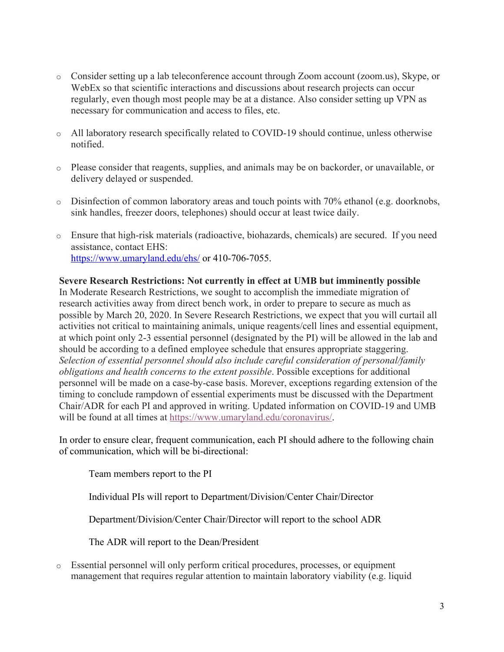- o Consider setting up a lab teleconference account through Zoom account (zoom.us), Skype, or WebEx so that scientific interactions and discussions about research projects can occur regularly, even though most people may be at a distance. Also consider setting up VPN as necessary for communication and access to files, etc.
- o All laboratory research specifically related to COVID-19 should continue, unless otherwise notified.
- o Please consider that reagents, supplies, and animals may be on backorder, or unavailable, or delivery delayed or suspended.
- o Disinfection of common laboratory areas and touch points with 70% ethanol (e.g. doorknobs, sink handles, freezer doors, telephones) should occur at least twice daily.
- o Ensure that high-risk materials (radioactive, biohazards, chemicals) are secured. If you need assistance, contact EHS: https://www.umaryland.edu/ehs/ or 410-706-7055.

# **Severe Research Restrictions: Not currently in effect at UMB but imminently possible**

In Moderate Research Restrictions, we sought to accomplish the immediate migration of research activities away from direct bench work, in order to prepare to secure as much as possible by March 20, 2020. In Severe Research Restrictions, we expect that you will curtail all activities not critical to maintaining animals, unique reagents/cell lines and essential equipment, at which point only 2-3 essential personnel (designated by the PI) will be allowed in the lab and should be according to a defined employee schedule that ensures appropriate staggering. *Selection of essential personnel should also include careful consideration of personal/family obligations and health concerns to the extent possible*. Possible exceptions for additional personnel will be made on a case-by-case basis. Morever, exceptions regarding extension of the timing to conclude rampdown of essential experiments must be discussed with the Department Chair/ADR for each PI and approved in writing. Updated information on COVID-19 and UMB will be found at all times at https://www.umaryland.edu/coronavirus/.

In order to ensure clear, frequent communication, each PI should adhere to the following chain of communication, which will be bi-directional:

Team members report to the PI

Individual PIs will report to Department/Division/Center Chair/Director

Department/Division/Center Chair/Director will report to the school ADR

The ADR will report to the Dean/President

o Essential personnel will only perform critical procedures, processes, or equipment management that requires regular attention to maintain laboratory viability (e.g. liquid